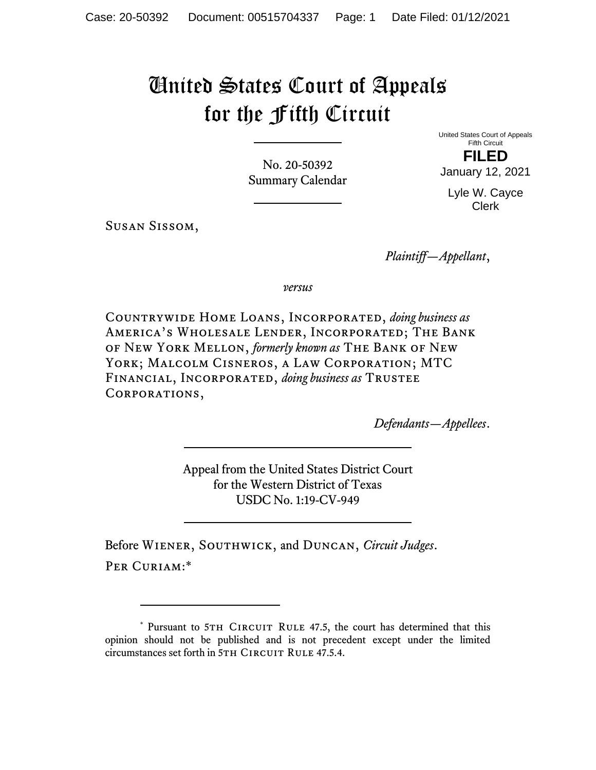## United States Court of Appeals for the Fifth Circuit

No. 20-50392 Summary Calendar United States Court of Appeals Fifth Circuit **FILED** 

January 12, 2021 Lyle W. Cayce Clerk

Susan Sissom,

*Plaintiff—Appellant*,

*versus*

Countrywide Home Loans, Incorporated, *doing business as* America's Wholesale Lender, Incorporated; The Bank of New York Mellon, *formerly known as* The Bank of New York; Malcolm Cisneros, a Law Corporation; MTC Financial, Incorporated, *doing business as* Trustee Corporations,

*Defendants—Appellees*.

Appeal from the United States District Court for the Western District of Texas USDC No. 1:19-CV-949

Before Wiener, Southwick, and Duncan, *Circuit Judges*. PER CURIAM:\*

<sup>\*</sup> Pursuant to 5TH CIRCUIT RULE 47.5, the court has determined that this opinion should not be published and is not precedent except under the limited circumstances set forth in 5TH CIRCUIT RULE 47.5.4.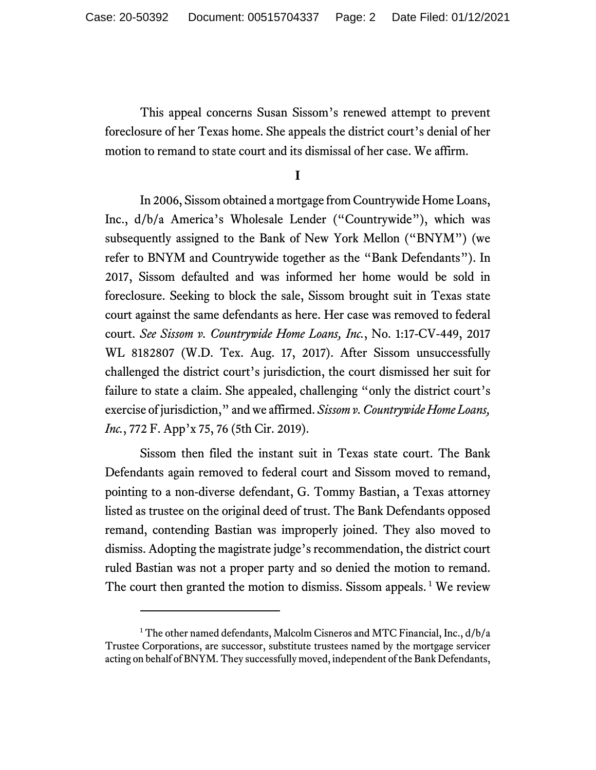This appeal concerns Susan Sissom's renewed attempt to prevent foreclosure of her Texas home. She appeals the district court's denial of her motion to remand to state court and its dismissal of her case. We affirm.

**I** 

In 2006, Sissom obtained a mortgage from Countrywide Home Loans, Inc., d/b/a America's Wholesale Lender ("Countrywide"), which was subsequently assigned to the Bank of New York Mellon ("BNYM") (we refer to BNYM and Countrywide together as the "Bank Defendants"). In 2017, Sissom defaulted and was informed her home would be sold in foreclosure. Seeking to block the sale, Sissom brought suit in Texas state court against the same defendants as here. Her case was removed to federal court. *See Sissom v. Countrywide Home Loans, Inc.*, No. 1:17-CV-449, 2017 WL 8182807 (W.D. Tex. Aug. 17, 2017). After Sissom unsuccessfully challenged the district court's jurisdiction, the court dismissed her suit for failure to state a claim. She appealed, challenging "only the district court's exercise of jurisdiction," and we affirmed. *Sissom v. Countrywide Home Loans, Inc.*, 772 F. App'x 75, 76 (5th Cir. 2019).

Sissom then filed the instant suit in Texas state court. The Bank Defendants again removed to federal court and Sissom moved to remand, pointing to a non-diverse defendant, G. Tommy Bastian, a Texas attorney listed as trustee on the original deed of trust. The Bank Defendants opposed remand, contending Bastian was improperly joined. They also moved to dismiss. Adopting the magistrate judge's recommendation, the district court ruled Bastian was not a proper party and so denied the motion to remand. The court then granted the motion to dismiss. Sissom appeals.<sup>1</sup> We review

<sup>&</sup>lt;sup>1</sup> The other named defendants, Malcolm Cisneros and MTC Financial, Inc., d/b/a Trustee Corporations, are successor, substitute trustees named by the mortgage servicer acting on behalf of BNYM. They successfully moved, independent of the Bank Defendants,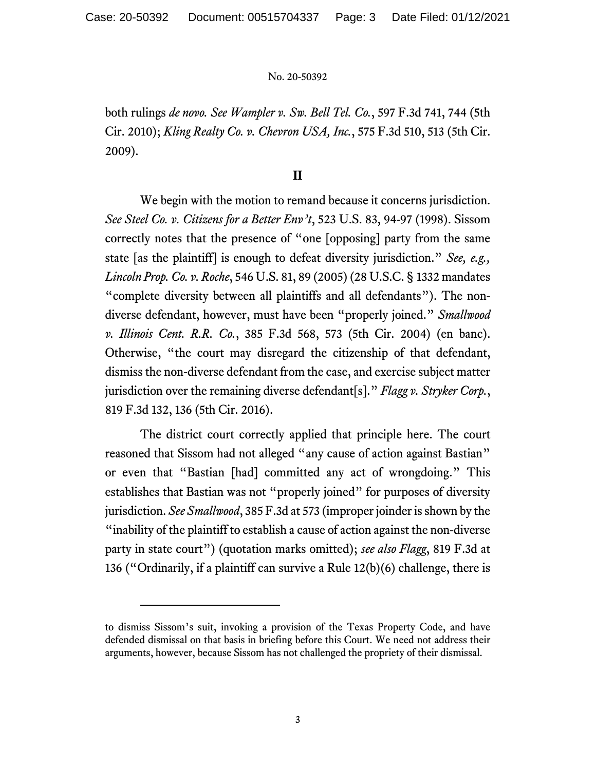## No. 20-50392

both rulings *de novo. See Wampler v. Sw. Bell Tel. Co.*, 597 F.3d 741, 744 (5th Cir. 2010); *Kling Realty Co. v. Chevron USA, Inc.*, 575 F.3d 510, 513 (5th Cir. 2009).

## **II**

 We begin with the motion to remand because it concerns jurisdiction. *See Steel Co. v. Citizens for a Better Env't*, 523 U.S. 83, 94-97 (1998). Sissom correctly notes that the presence of "one [opposing] party from the same state [as the plaintiff] is enough to defeat diversity jurisdiction." *See, e.g., Lincoln Prop. Co. v. Roche*, 546 U.S. 81, 89 (2005) (28 U.S.C. § 1332 mandates "complete diversity between all plaintiffs and all defendants"). The nondiverse defendant, however, must have been "properly joined." *Smallwood v. Illinois Cent. R.R. Co.*, 385 F.3d 568, 573 (5th Cir. 2004) (en banc). Otherwise, "the court may disregard the citizenship of that defendant, dismiss the non-diverse defendant from the case, and exercise subject matter jurisdiction over the remaining diverse defendant[s]." *Flagg v. Stryker Corp.*, 819 F.3d 132, 136 (5th Cir. 2016).

 The district court correctly applied that principle here. The court reasoned that Sissom had not alleged "any cause of action against Bastian" or even that "Bastian [had] committed any act of wrongdoing." This establishes that Bastian was not "properly joined" for purposes of diversity jurisdiction. *See Smallwood*, 385 F.3d at 573 (improper joinder is shown by the "inability of the plaintiff to establish a cause of action against the non-diverse party in state court") (quotation marks omitted); *see also Flagg*, 819 F.3d at 136 ("Ordinarily, if a plaintiff can survive a Rule 12(b)(6) challenge, there is

to dismiss Sissom's suit, invoking a provision of the Texas Property Code, and have defended dismissal on that basis in briefing before this Court. We need not address their arguments, however, because Sissom has not challenged the propriety of their dismissal.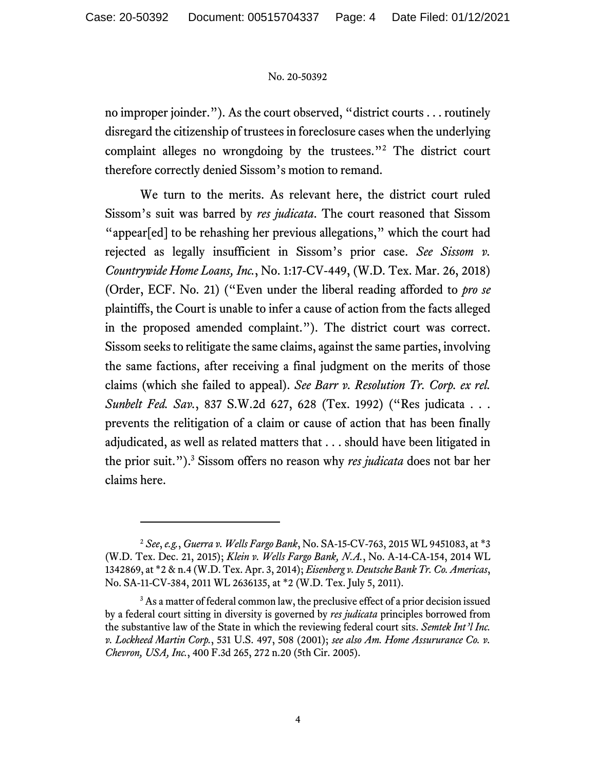## No. 20-50392

no improper joinder."). As the court observed, "district courts . . . routinely disregard the citizenship of trustees in foreclosure cases when the underlying complaint alleges no wrongdoing by the trustees."2 The district court therefore correctly denied Sissom's motion to remand.

We turn to the merits. As relevant here, the district court ruled Sissom's suit was barred by *res judicata*. The court reasoned that Sissom "appear[ed] to be rehashing her previous allegations," which the court had rejected as legally insufficient in Sissom's prior case. *See Sissom v. Countrywide Home Loans, Inc.*, No. 1:17-CV-449, (W.D. Tex. Mar. 26, 2018) (Order, ECF. No. 21) ("Even under the liberal reading afforded to *pro se* plaintiffs, the Court is unable to infer a cause of action from the facts alleged in the proposed amended complaint."). The district court was correct. Sissom seeks to relitigate the same claims, against the same parties, involving the same factions, after receiving a final judgment on the merits of those claims (which she failed to appeal). *See Barr v. Resolution Tr. Corp. ex rel. Sunbelt Fed. Sav.*, 837 S.W.2d 627, 628 (Tex. 1992) ("Res judicata . . . prevents the relitigation of a claim or cause of action that has been finally adjudicated, as well as related matters that . . . should have been litigated in the prior suit.").3 Sissom offers no reason why *res judicata* does not bar her claims here.

<sup>2</sup> *See*, *e.g.*, *Guerra v. Wells Fargo Bank*, No. SA-15-CV-763, 2015 WL 9451083, at \*3 (W.D. Tex. Dec. 21, 2015); *Klein v. Wells Fargo Bank, N.A.*, No. A-14-CA-154, 2014 WL 1342869, at \*2 & n.4 (W.D. Tex. Apr. 3, 2014); *Eisenberg v. Deutsche Bank Tr. Co. Americas*, No. SA-11-CV-384, 2011 WL 2636135, at \*2 (W.D. Tex. July 5, 2011).

<sup>&</sup>lt;sup>3</sup> As a matter of federal common law, the preclusive effect of a prior decision issued by a federal court sitting in diversity is governed by *res judicata* principles borrowed from the substantive law of the State in which the reviewing federal court sits. *Semtek Int'l Inc. v. Lockheed Martin Corp.*, 531 U.S. 497, 508 (2001); *see also Am. Home Assururance Co. v. Chevron, USA, Inc.*, 400 F.3d 265, 272 n.20 (5th Cir. 2005).